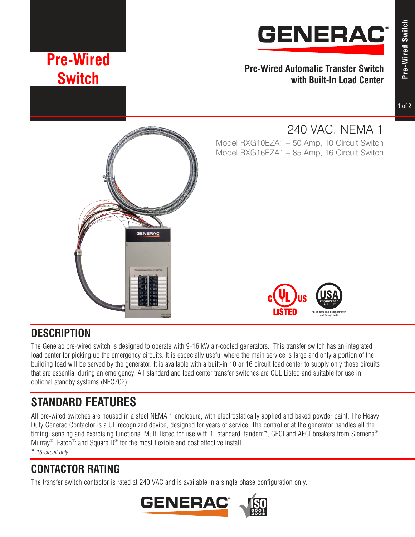

**Pre-Wired Automatic Transfer Switch with Built-In Load Center**

# **Pre-Wired Switch**

**Pre-Wired Switch**

Pre-Wired Switch

# 240 VAC, NEMA 1

Model RXG10EZA1 – 50 Amp, 10 Circuit Switch Model RXG16EZA1 – 85 Amp, 16 Circuit Switch





## **DESCRIPTION**

The Generac pre-wired switch is designed to operate with 9-16 kW air-cooled generators. This transfer switch has an integrated load center for picking up the emergency circuits. It is especially useful where the main service is large and only a portion of the building load will be served by the generator. It is available with a built-in 10 or 16 circuit load center to supply only those circuits that are essential during an emergency. All standard and load center transfer switches are CUL Listed and suitable for use in optional standby systems (NEC702).

## **STANDARD FEATURES**

All pre-wired switches are housed in a steel NEMA 1 enclosure, with electrostatically applied and baked powder paint. The Heavy Duty Generac Contactor is a UL recognized device, designed for years of service. The controller at the generator handles all the timing, sensing and exercising functions. Multi listed for use with 1" standard, tandem\*, GFCI and AFCI breakers from Siemens® , Murray<sup>®</sup>, Eaton<sup>®,</sup> and Square D<sup>®</sup> for the most flexible and cost effective install. \* *16-circuit only*

**CONTACTOR RATING**

The transfer switch contactor is rated at 240 VAC and is available in a single phase configuration only.